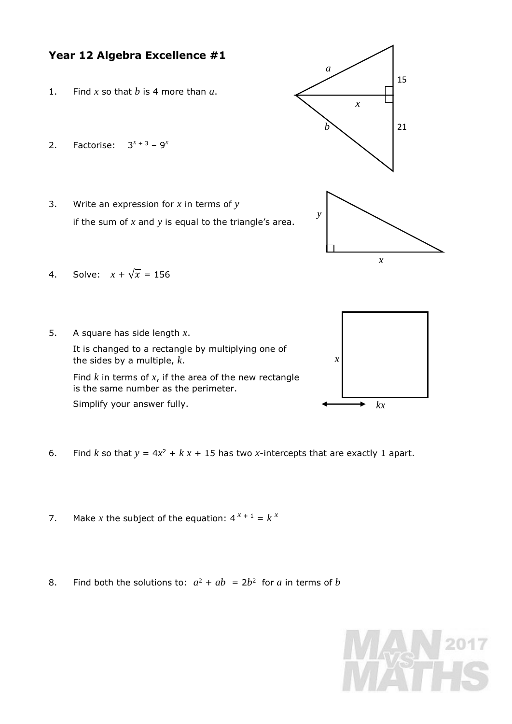## **Year 12 Algebra Excellence #1**

- 1. Find *x* so that *b* is 4 more than *a*.
- 2. Factorise:  $3^{x+3} 9^x$
- 3. Write an expression for *x* in terms of *y* if the sum of *x* and *y* is equal to the triangle's area.



*a*

- 4. Solve:  $x + \sqrt{x} = 156$
- 5. A square has side length *x*. It is changed to a rectangle by multiplying one of the sides by a multiple, *k*. Find *k* in terms of *x*, if the area of the new rectangle is the same number as the perimeter. Simplify your answer fully. *x*



- 6. Find *k* so that  $y = 4x^2 + kx + 15$  has two *x*-intercepts that are exactly 1 apart.
- 7. Make *x* the subject of the equation:  $4^{x+1} = k^x$
- 8. Find both the solutions to:  $a^2 + ab = 2b^2$  for *a* in terms of *b*

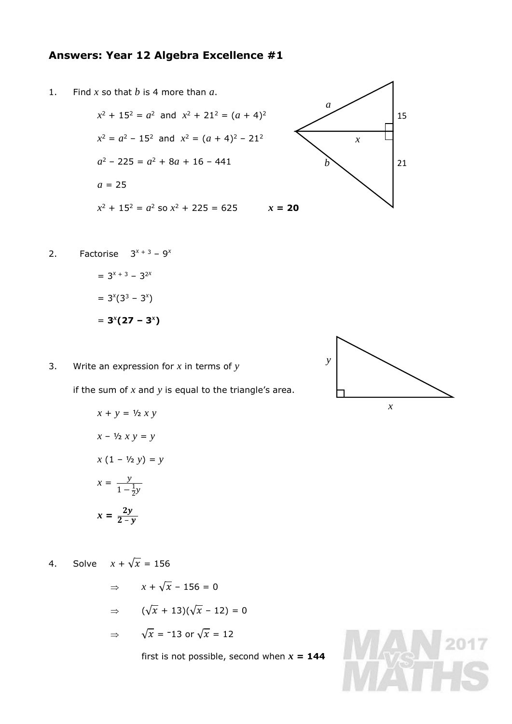## **Answers: Year 12 Algebra Excellence #1**

1. Find *x* so that *b* is 4 more than *a*.

 $x^2 + 15^2 = a^2$  and  $x^2 + 21^2 = (a + 4)^2$  $x^2 = a^2 - 15^2$  and  $x^2 = (a + 4)^2 - 21^2$  $a^2 - 225 = a^2 + 8a + 16 - 441$  $a = 25$  $x^2 + 15^2 = a^2$  so  $x^2 + 225 = 625$   $x = 20$ 



2. Factorise 
$$
3^{x+3} - 9^x
$$
  
=  $3^{x+3} - 3^{2x}$ 

 $= 3^{x} (3^{3} - 3^{x})$  $= 3^{x}(27 - 3^{x})$ 

3. Write an expression for *x* in terms of *y*

if the sum of *x* and *y* is equal to the triangle's area.

$$
x + y = \frac{1}{2} x y
$$
  

$$
x - \frac{1}{2} x y = y
$$
  

$$
x (1 - \frac{1}{2} y) = y
$$
  

$$
x = \frac{y}{1 - \frac{1}{2} y}
$$
  

$$
x = \frac{2y}{2 - y}
$$

4. Solve  $x + \sqrt{x} = 156$ 

 $\Rightarrow$   $x + \sqrt{x} - 156 = 0$  $\Rightarrow$   $(\sqrt{x} + 13)(\sqrt{x} - 12) = 0$  $\Rightarrow \sqrt{x} = -13$  or  $\sqrt{x} = 12$ 

first is not possible, second when  $x = 144$